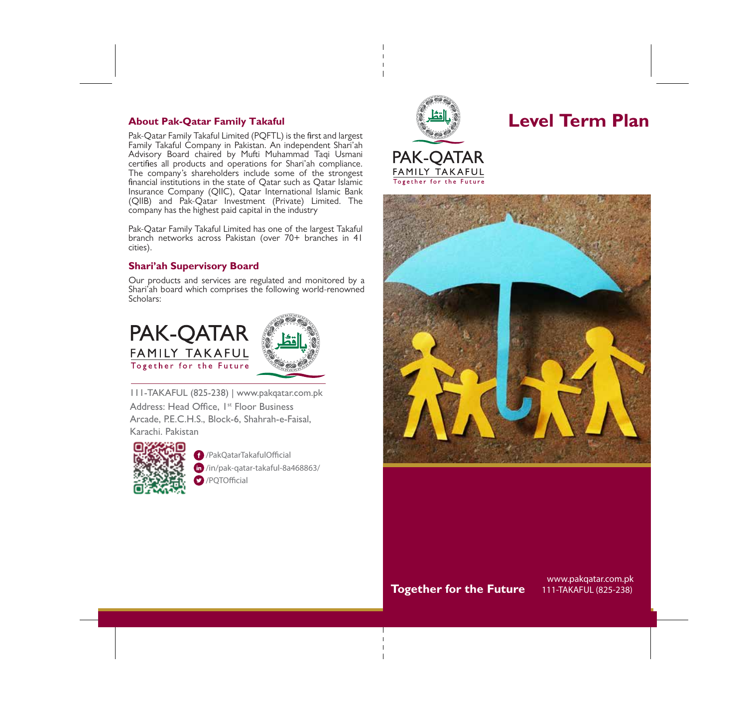# **About Pak-Qatar Family Takaful**

Pak-Qatar Family Takaful Limited (PQFTL) is the first and largest Family Takaful Company in Pakistan. An independent Shari'ah Advisory Board chaired by Mufti Muhammad Taqi Usmani certifies all products and operations for Shari'ah compliance. The company's shareholders include some of the strongest financial institutions in the state of Qatar such as Qatar Islamic Insurance Company (QIIC), Qatar International Islamic Bank (QIIB) and Pak-Qatar Investment (Private) Limited. The company has the highest paid capital in the industry

Pak-Qatar Family Takaful Limited has one of the largest Takaful branch networks across Pakistan (over 70+ branches in 41 cities).

# **Shari'ah Supervisory Board**

Our products and services are regulated and monitored by a Shari'ah board which comprises the following world-renowned Scholars:





111-TAKAFUL (825-238) | www.pakqatar.com.pk

Address: Head Office, 1<sup>st</sup> Floor Business Arcade, P.E.C.H.S., Block-6, Shahrah-e-Faisal, Karachi. Pakistan



/PakQatarTakafulOcial /in/pak-qatar-takaful-8a468863/  $\Box$  /PQTOfficial



**Level Term Plan**





# **Together for the Future**

www.pakqatar.com.pk 111-TAKAFUL (825-238)